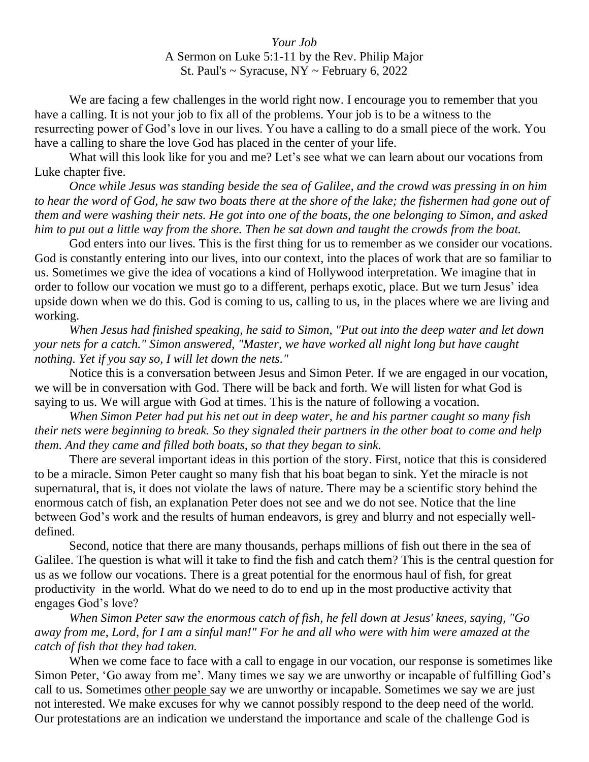## *Your Job* A Sermon on Luke 5:1-11 by the Rev. Philip Major St. Paul's  $\sim$  Syracuse, NY  $\sim$  February 6, 2022

We are facing a few challenges in the world right now. I encourage you to remember that you have a calling. It is not your job to fix all of the problems. Your job is to be a witness to the resurrecting power of God's love in our lives. You have a calling to do a small piece of the work. You have a calling to share the love God has placed in the center of your life.

What will this look like for you and me? Let's see what we can learn about our vocations from Luke chapter five.

*Once while Jesus was standing beside the sea of Galilee, and the crowd was pressing in on him to hear the word of God, he saw two boats there at the shore of the lake; the fishermen had gone out of them and were washing their nets. He got into one of the boats, the one belonging to Simon, and asked him to put out a little way from the shore. Then he sat down and taught the crowds from the boat.* 

God enters into our lives. This is the first thing for us to remember as we consider our vocations. God is constantly entering into our lives, into our context, into the places of work that are so familiar to us. Sometimes we give the idea of vocations a kind of Hollywood interpretation. We imagine that in order to follow our vocation we must go to a different, perhaps exotic, place. But we turn Jesus' idea upside down when we do this. God is coming to us, calling to us, in the places where we are living and working.

*When Jesus had finished speaking, he said to Simon, "Put out into the deep water and let down your nets for a catch." Simon answered, "Master, we have worked all night long but have caught nothing. Yet if you say so, I will let down the nets."* 

Notice this is a conversation between Jesus and Simon Peter. If we are engaged in our vocation, we will be in conversation with God. There will be back and forth. We will listen for what God is saying to us. We will argue with God at times. This is the nature of following a vocation.

*When Simon Peter had put his net out in deep water, he and his partner caught so many fish their nets were beginning to break. So they signaled their partners in the other boat to come and help them. And they came and filled both boats, so that they began to sink.* 

There are several important ideas in this portion of the story. First, notice that this is considered to be a miracle. Simon Peter caught so many fish that his boat began to sink. Yet the miracle is not supernatural, that is, it does not violate the laws of nature. There may be a scientific story behind the enormous catch of fish, an explanation Peter does not see and we do not see. Notice that the line between God's work and the results of human endeavors, is grey and blurry and not especially welldefined.

Second, notice that there are many thousands, perhaps millions of fish out there in the sea of Galilee. The question is what will it take to find the fish and catch them? This is the central question for us as we follow our vocations. There is a great potential for the enormous haul of fish, for great productivity in the world. What do we need to do to end up in the most productive activity that engages God's love?

*When Simon Peter saw the enormous catch of fish, he fell down at Jesus' knees, saying, "Go away from me, Lord, for I am a sinful man!" For he and all who were with him were amazed at the catch of fish that they had taken.* 

When we come face to face with a call to engage in our vocation, our response is sometimes like Simon Peter, 'Go away from me'. Many times we say we are unworthy or incapable of fulfilling God's call to us. Sometimes other people say we are unworthy or incapable. Sometimes we say we are just not interested. We make excuses for why we cannot possibly respond to the deep need of the world. Our protestations are an indication we understand the importance and scale of the challenge God is